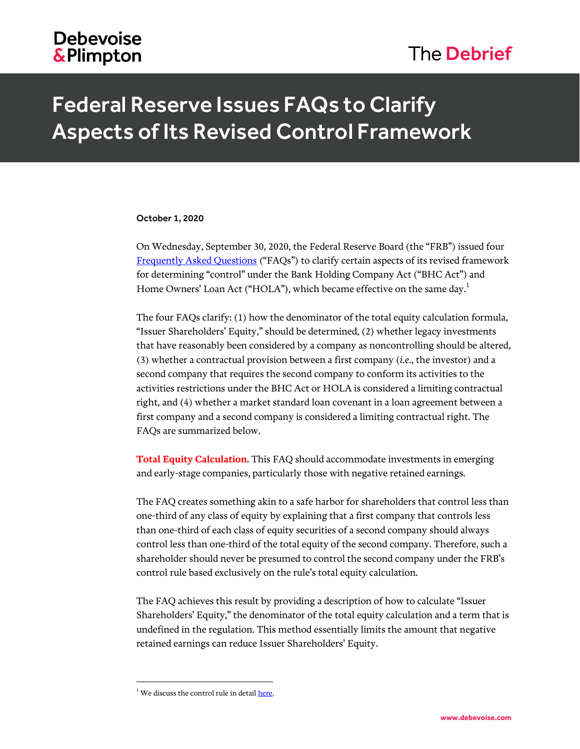## **Debevoise &Plimpton**

## The Debrief

# Federal Reserve Issues FAQs to Clarify Aspects of Its Revised Control Framework

#### October 1, 2020

On Wednesday, September 30, 2020, the Federal Reserve Board (the "FRB") issued four [Frequently Asked Questions](https://www.federalreserve.gov/supervisionreg/reg-y-faqs.htm) ("FAQs") to clarify certain aspects of its revised framework for determining "control" under the Bank Holding Company Act ("BHC Act") and Home Owners' Loan Act ("HOLA"), which became effective on the same day.<sup>1</sup>

The four FAQs clarify: (1) how the denominator of the total equity calculation formula, "Issuer Shareholders' Equity," should be determined, (2) whether legacy investments that have reasonably been considered by a company as noncontrolling should be altered, (3) whether a contractual provision between a first company (*i.e.*, the investor) and a second company that requires the second company to conform its activities to the activities restrictions under the BHC Act or HOLA is considered a limiting contractual right, and (4) whether a market standard loan covenant in a loan agreement between a first company and a second company is considered a limiting contractual right. The FAQs are summarized below.

**Total Equity Calculation**. This FAQ should accommodate investments in emerging and early-stage companies, particularly those with negative retained earnings.

The FAQ creates something akin to a safe harbor for shareholders that control less than one-third of any class of equity by explaining that a first company that controls less than one-third of each class of equity securities of a second company should always control less than one-third of the total equity of the second company. Therefore, such a shareholder should never be presumed to control the second company under the FRB's control rule based exclusively on the rule's total equity calculation.

The FAQ achieves this result by providing a description of how to calculate "Issuer Shareholders' Equity," the denominator of the total equity calculation and a term that is undefined in the regulation. This method essentially limits the amount that negative retained earnings can reduce Issuer Shareholders' Equity.

 $\overline{a}$ 

 $1$  We discuss the control rule in detai[l here.](https://www.debevoise.com/insights/publications/2020/01/federal-reserve-finalizes-revised-control)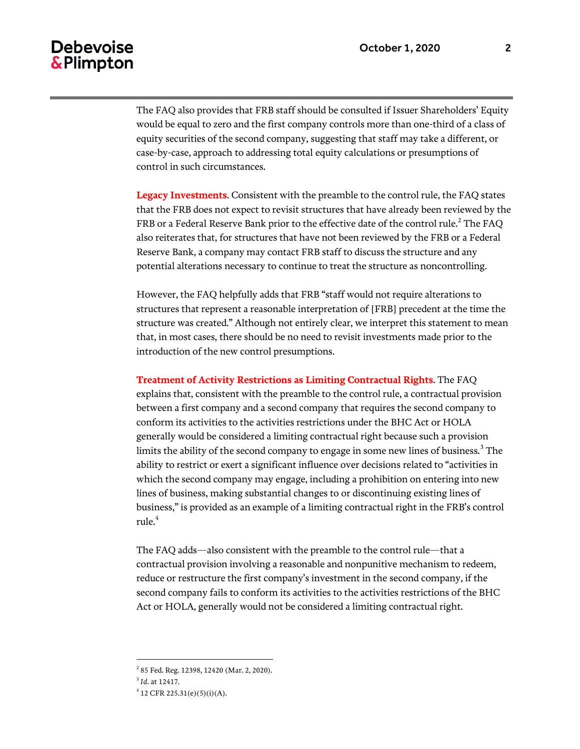## **Debevoise** & Plimpton

The FAQ also provides that FRB staff should be consulted if Issuer Shareholders' Equity would be equal to zero and the first company controls more than one-third of a class of equity securities of the second company, suggesting that staff may take a different, or case-by-case, approach to addressing total equity calculations or presumptions of control in such circumstances.

**Legacy Investments**. Consistent with the preamble to the control rule, the FAQ states that the FRB does not expect to revisit structures that have already been reviewed by the FRB or a Federal Reserve Bank prior to the effective date of the control rule. $^2$  The FAQ also reiterates that, for structures that have not been reviewed by the FRB or a Federal Reserve Bank, a company may contact FRB staff to discuss the structure and any potential alterations necessary to continue to treat the structure as noncontrolling.

However, the FAQ helpfully adds that FRB "staff would not require alterations to structures that represent a reasonable interpretation of [FRB] precedent at the time the structure was created." Although not entirely clear, we interpret this statement to mean that, in most cases, there should be no need to revisit investments made prior to the introduction of the new control presumptions.

#### **Treatment of Activity Restrictions as Limiting Contractual Rights**. The FAQ

explains that, consistent with the preamble to the control rule, a contractual provision between a first company and a second company that requires the second company to conform its activities to the activities restrictions under the BHC Act or HOLA generally would be considered a limiting contractual right because such a provision limits the ability of the second company to engage in some new lines of business. $^3$  The ability to restrict or exert a significant influence over decisions related to "activities in which the second company may engage, including a prohibition on entering into new lines of business, making substantial changes to or discontinuing existing lines of business," is provided as an example of a limiting contractual right in the FRB's control rule.<sup>4</sup>

The FAQ adds—also consistent with the preamble to the control rule—that a contractual provision involving a reasonable and nonpunitive mechanism to redeem, reduce or restructure the first company's investment in the second company, if the second company fails to conform its activities to the activities restrictions of the BHC Act or HOLA, generally would not be considered a limiting contractual right.

 $\overline{a}$ 

<sup>&</sup>lt;sup>2</sup> 85 Fed. Reg. 12398, 12420 (Mar. 2, 2020).

<sup>3</sup> *Id*. at 12417.

 $4$  12 CFR 225.31(e)(5)(i)(A).